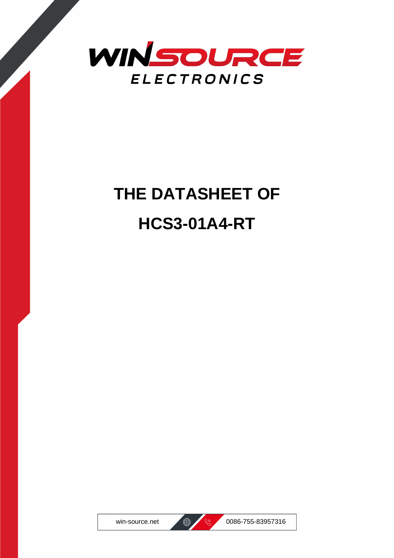

## **THE DATASHEET OF HCS3-01A4-RT**





win-source.net (@ 0086-755-83957316